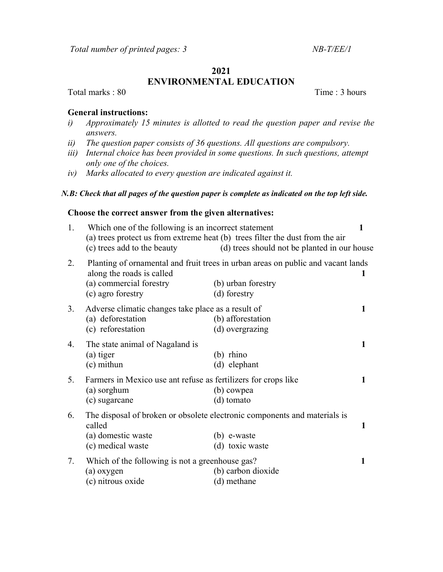#### 2021

# ENVIRONMENTAL EDUCATION

Total marks : 80 Time : 3 hours

## General instructions:

- i) Approximately 15 minutes is allotted to read the question paper and revise the answers.
- ii) The question paper consists of 36 questions. All questions are compulsory.
- iii) Internal choice has been provided in some questions. In such questions, attempt only one of the choices.
- iv) Marks allocated to every question are indicated against it.

#### N.B: Check that all pages of the question paper is complete as indicated on the top left side.

### Choose the correct answer from the given alternatives:

| 1. | Which one of the following is an incorrect statement<br>(c) trees add to the beauty            | (a) trees protect us from extreme heat (b) trees filter the dust from the air<br>(d) trees should not be planted in our house | $\mathbf{1}$ |
|----|------------------------------------------------------------------------------------------------|-------------------------------------------------------------------------------------------------------------------------------|--------------|
| 2. | along the roads is called<br>(a) commercial forestry<br>(c) agro forestry                      | Planting of ornamental and fruit trees in urban areas on public and vacant lands<br>(b) urban forestry<br>(d) forestry        | 1            |
| 3. | Adverse climatic changes take place as a result of<br>(a) deforestation<br>(c) reforestation   | (b) afforestation<br>(d) overgrazing                                                                                          | 1            |
| 4. | The state animal of Nagaland is<br>(a) tiger<br>$(c)$ mithun                                   | $(b)$ rhino<br>(d) elephant                                                                                                   | 1            |
| 5. | Farmers in Mexico use ant refuse as fertilizers for crops like<br>(a) sorghum<br>(c) sugarcane | (b) cowpea<br>(d) tomato                                                                                                      | 1            |
| 6. | called<br>(a) domestic waste<br>(c) medical waste                                              | The disposal of broken or obsolete electronic components and materials is<br>$(b)$ e-waste<br>(d) toxic waste                 | 1            |
| 7. | Which of the following is not a greenhouse gas?<br>(a) oxygen<br>(c) nitrous oxide             | (b) carbon dioxide<br>(d) methane                                                                                             | 1            |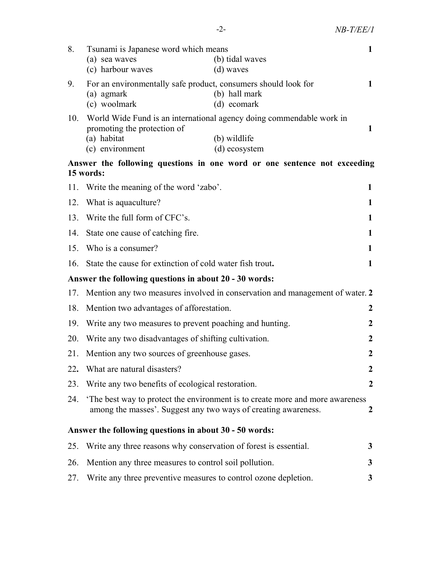| 8.                                                                                    | Tsunami is Japanese word which means<br>(a) sea waves<br>(c) harbour waves                   | (b) tidal waves<br>(d) waves                                                                          | 1                |  |  |  |
|---------------------------------------------------------------------------------------|----------------------------------------------------------------------------------------------|-------------------------------------------------------------------------------------------------------|------------------|--|--|--|
| 9.                                                                                    | For an environmentally safe product, consumers should look for<br>(a) agmark<br>(c) woolmark | (b) hall mark<br>(d) ecomark                                                                          | 1                |  |  |  |
| 10.                                                                                   | promoting the protection of<br>(a) habitat<br>(c) environment                                | World Wide Fund is an international agency doing commendable work in<br>(b) wildlife<br>(d) ecosystem | 1                |  |  |  |
| Answer the following questions in one word or one sentence not exceeding<br>15 words: |                                                                                              |                                                                                                       |                  |  |  |  |
| 11.                                                                                   | Write the meaning of the word 'zabo'.<br>1                                                   |                                                                                                       |                  |  |  |  |
| 12.                                                                                   | What is aquaculture?                                                                         |                                                                                                       |                  |  |  |  |
| 13.                                                                                   | Write the full form of CFC's.                                                                |                                                                                                       |                  |  |  |  |
| 14.                                                                                   | State one cause of catching fire.                                                            |                                                                                                       |                  |  |  |  |
| 15.                                                                                   | Who is a consumer?                                                                           |                                                                                                       |                  |  |  |  |
| 16.                                                                                   | State the cause for extinction of cold water fish trout.<br>1                                |                                                                                                       |                  |  |  |  |
| Answer the following questions in about 20 - 30 words:                                |                                                                                              |                                                                                                       |                  |  |  |  |
| 17.                                                                                   | Mention any two measures involved in conservation and management of water. 2                 |                                                                                                       |                  |  |  |  |
| 18.                                                                                   | Mention two advantages of afforestation.                                                     |                                                                                                       |                  |  |  |  |
| 19.                                                                                   | Write any two measures to prevent poaching and hunting.                                      |                                                                                                       |                  |  |  |  |
| 20.                                                                                   | Write any two disadvantages of shifting cultivation.                                         |                                                                                                       |                  |  |  |  |
| 21.                                                                                   | Mention any two sources of greenhouse gases.                                                 |                                                                                                       |                  |  |  |  |
| 22.                                                                                   | What are natural disasters?                                                                  |                                                                                                       |                  |  |  |  |
| 23.                                                                                   | Write any two benefits of ecological restoration.                                            |                                                                                                       | $\boldsymbol{2}$ |  |  |  |
| 24.                                                                                   | among the masses'. Suggest any two ways of creating awareness.                               | The best way to protect the environment is to create more and more awareness                          | 2                |  |  |  |
| Answer the following questions in about 30 - 50 words:                                |                                                                                              |                                                                                                       |                  |  |  |  |
| 25.                                                                                   | Write any three reasons why conservation of forest is essential.                             |                                                                                                       | 3                |  |  |  |
| 26.                                                                                   | Mention any three measures to control soil pollution.                                        |                                                                                                       | 3                |  |  |  |
| 27.                                                                                   | Write any three preventive measures to control ozone depletion.                              |                                                                                                       | 3                |  |  |  |